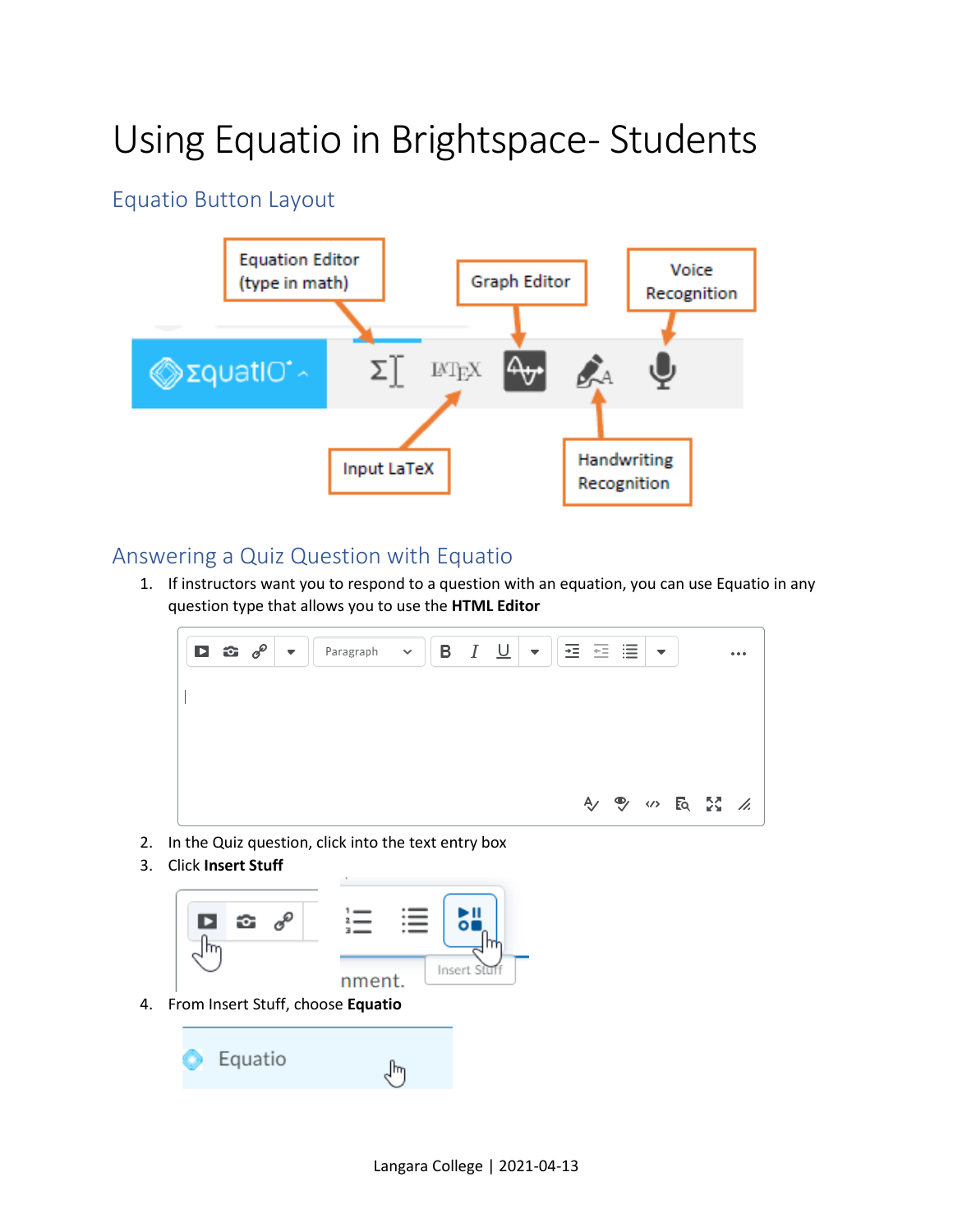## Using Equatio in Brightspace-Students

## Equatio Button Layout



## Answering a Quiz Question with Equatio

1. If instructors want you to respond to a question with an equation, you can use Equatio in any question type that allows you to use the **HTML Editor**



- 2. In the Quiz question, click into the text entry box
- 3. Click **Insert Stuff**



4. From Insert Stuff, choose **Equatio**

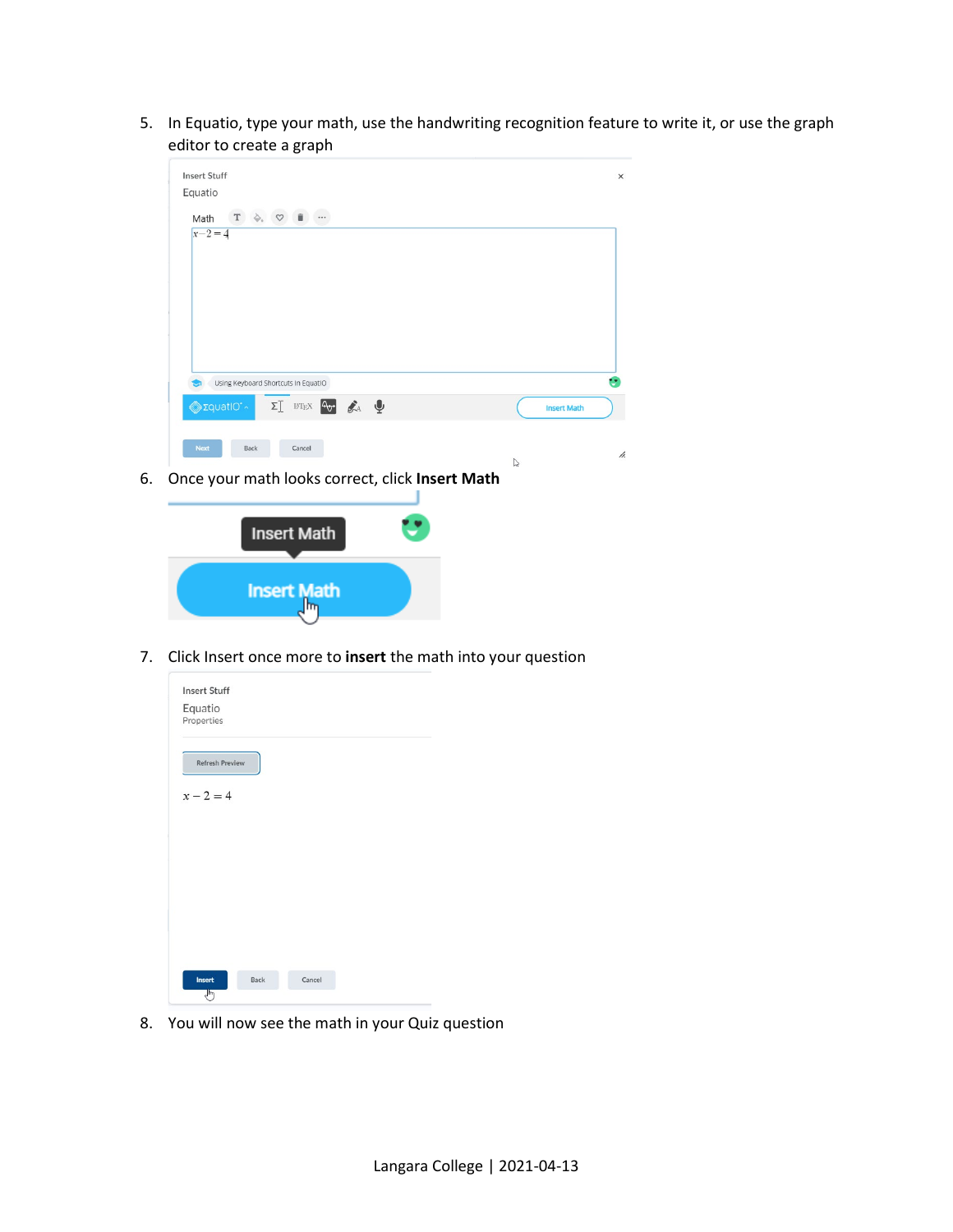5. In Equatio, type your math, use the handwriting recognition feature to write it, or use the graph editor to create a graph



6. Once your math looks correct, click **Insert Math**



7. Click Insert once more to **insert** the math into your question

| <b>Insert Stuff</b>    |      |        |  |  |
|------------------------|------|--------|--|--|
| Equatio<br>Properties  |      |        |  |  |
|                        |      |        |  |  |
| <b>Refresh Preview</b> |      |        |  |  |
| $x - 2 = 4$            |      |        |  |  |
|                        |      |        |  |  |
|                        |      |        |  |  |
|                        |      |        |  |  |
|                        |      |        |  |  |
|                        |      |        |  |  |
|                        |      |        |  |  |
| Insert                 | Back | Cancel |  |  |
| لسرك                   |      |        |  |  |

8. You will now see the math in your Quiz question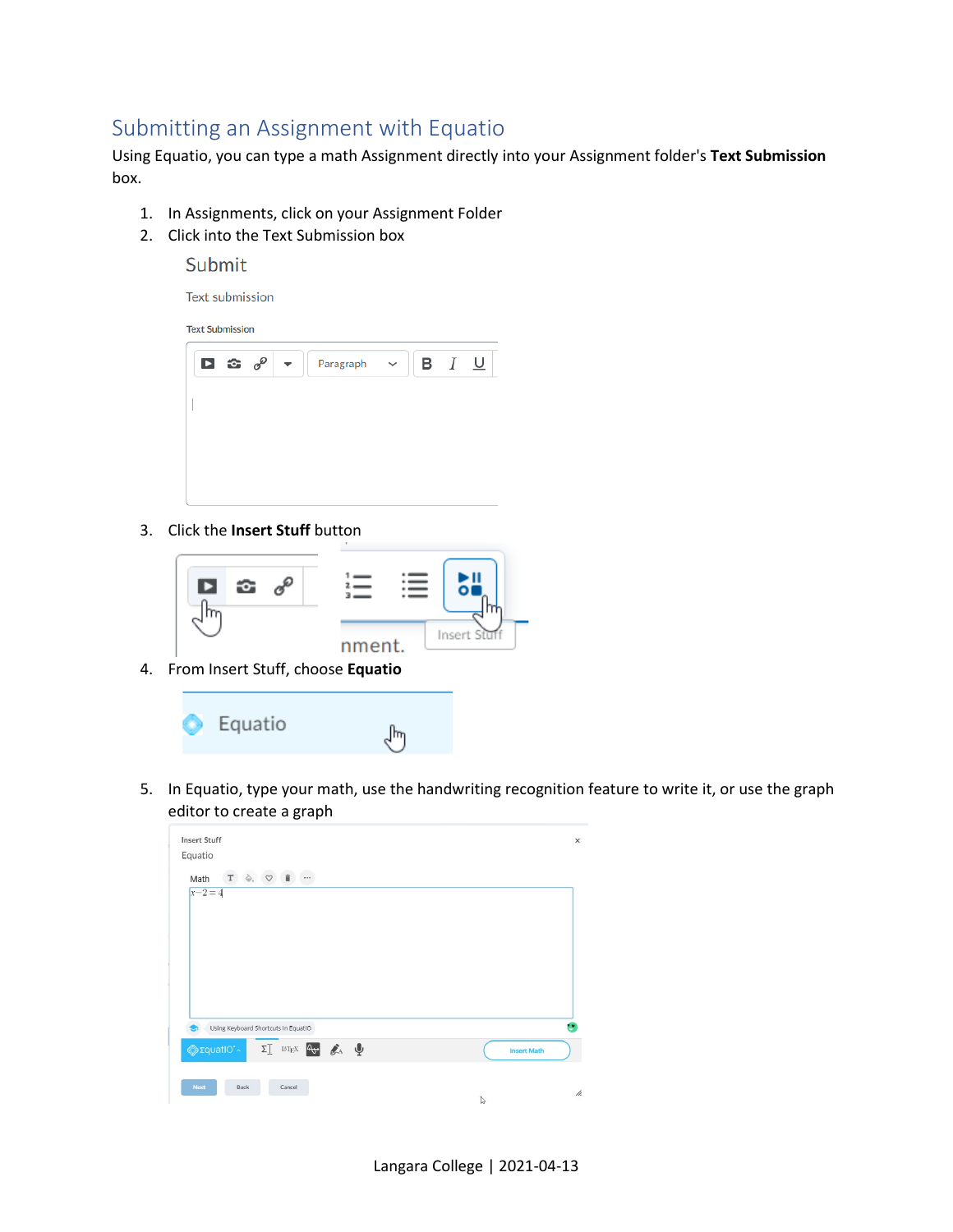## Submitting an Assignment with Equatio

Using Equatio, you can type a math Assignment directly into your Assignment folder's **Text Submission** box.

- 1. In Assignments, click on your Assignment Folder
- 2. Click into the Text Submission box
	- Submit

Text submission

**Text Submission** 

| ◘ ☎ ☞ ☞ ▼ │ |  | Paragraph v | <b>B</b> $I \underline{\cup}$ |  |
|-------------|--|-------------|-------------------------------|--|
|             |  |             |                               |  |
|             |  |             |                               |  |
|             |  |             |                               |  |

3. Click the **Insert Stuff** button



4. From Insert Stuff, choose **Equatio**

Equatio  $\sqrt[3]{\eta}$ 

5. In Equatio, type your math, use the handwriting recognition feature to write it, or use the graph editor to create a graph

| Equatio<br>$\overline{\phantom{a}}$                                                                       |                    |  |
|-----------------------------------------------------------------------------------------------------------|--------------------|--|
| $\begin{array}{ccc} T & \diamondsuit. & \heartsuit & \bar{\mathbb{I}} \end{array}$<br>Math<br>$x - 2 = 4$ |                    |  |
|                                                                                                           |                    |  |
|                                                                                                           |                    |  |
|                                                                                                           |                    |  |
|                                                                                                           |                    |  |
|                                                                                                           |                    |  |
|                                                                                                           |                    |  |
|                                                                                                           |                    |  |
| Using Keyboard Shortcuts In EquatIO                                                                       |                    |  |
| $\Sigma$ in $\mathbb{R}^N$ and $\mathbb{R}^N$<br>Φ <sub>Σ</sub> quatio*                                   | <b>Insert Math</b> |  |